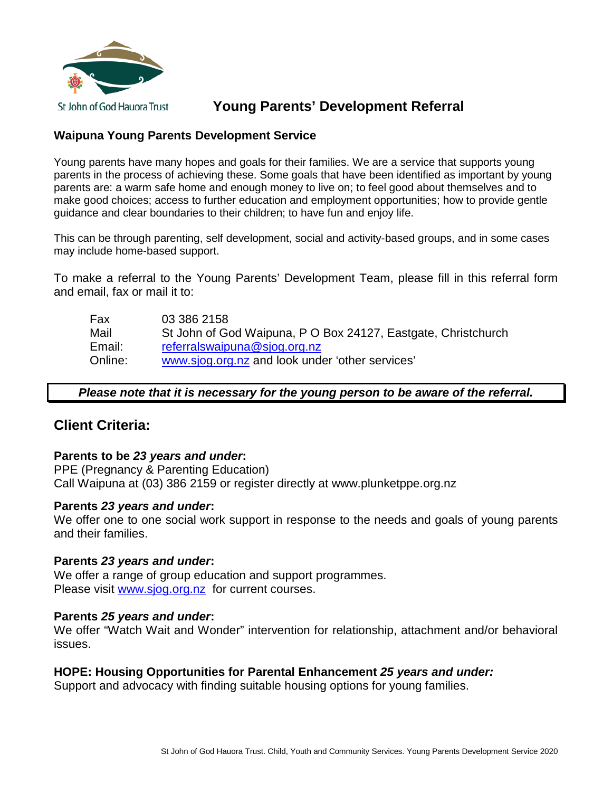

# **Young Parents' Development Referral**

## **Waipuna Young Parents Development Service**

Young parents have many hopes and goals for their families. We are a service that supports young parents in the process of achieving these. Some goals that have been identified as important by young parents are: a warm safe home and enough money to live on; to feel good about themselves and to make good choices; access to further education and employment opportunities; how to provide gentle guidance and clear boundaries to their children; to have fun and enjoy life.

This can be through parenting, self development, social and activity-based groups, and in some cases may include home-based support.

To make a referral to the Young Parents' Development Team, please fill in this referral form and email, fax or mail it to:

Fax 03 386 2158 Mail St John of God Waipuna, P O Box 24127, Eastgate, Christchurch Email: [referralswaipuna@sjog.org.nz](mailto:referralswaipuna@sjog.org.nz) Online: [www.sjog.org.nz](http://www.sjog.org.nz/) and look under 'other services'

### *Please note that it is necessary for the young person to be aware of the referral.*

# **Client Criteria:**

### **Parents to be** *23 years and under***:**

PPE (Pregnancy & Parenting Education) Call Waipuna at (03) 386 2159 or register directly at www.plunketppe.org.nz

### **Parents** *23 years and under***:**

We offer one to one social work support in response to the needs and goals of young parents and their families.

### **Parents** *23 years and under***:**

We offer a range of group education and support programmes. Please visit [www.sjog.org.nz](http://www.sjog.org.nz/) for current courses.

### **Parents** *25 years and under***:**

We offer "Watch Wait and Wonder" intervention for relationship, attachment and/or behavioral issues.

### **HOPE: Housing Opportunities for Parental Enhancement** *25 years and under:*

Support and advocacy with finding suitable housing options for young families.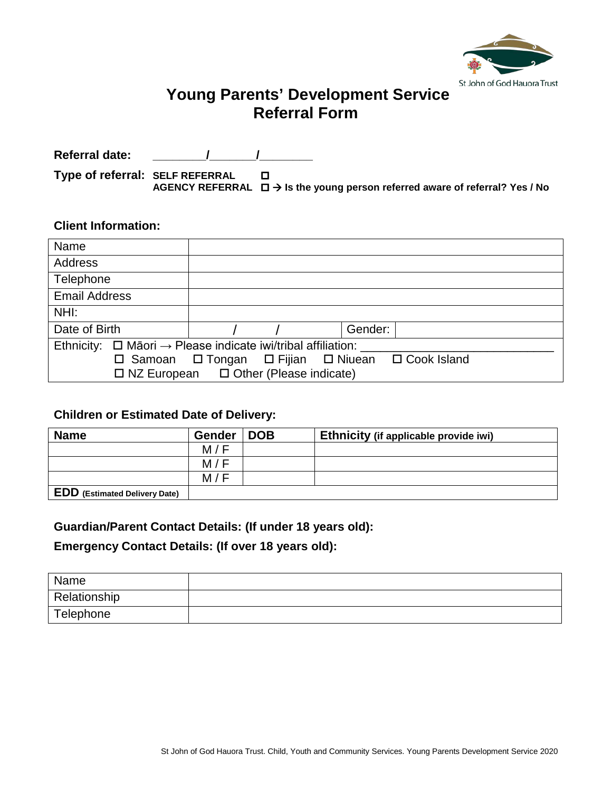

# **Young Parents' Development Service Referral Form**

Referral date:  $\sqrt{2}$ 

**Type of referral: SELF REFERRAL AGENCY REFERRAL Is the young person referred aware of referral? Yes / No**

### **Client Information:**

| Name                                                                          |                                                   |  |  |  |
|-------------------------------------------------------------------------------|---------------------------------------------------|--|--|--|
| Address                                                                       |                                                   |  |  |  |
| Telephone                                                                     |                                                   |  |  |  |
| <b>Email Address</b>                                                          |                                                   |  |  |  |
| NHI:                                                                          |                                                   |  |  |  |
| Date of Birth                                                                 | Gender:                                           |  |  |  |
| Ethnicity: $\Box$ Māori $\rightarrow$ Please indicate iwi/tribal affiliation: |                                                   |  |  |  |
|                                                                               | □ Samoan □ Tongan □ Fijian □ Niuean □ Cook Island |  |  |  |
| $\Box$ NZ European $\Box$ Other (Please indicate)                             |                                                   |  |  |  |

# **Children or Estimated Date of Delivery:**

| <b>Name</b>                          | <b>Gender</b> | <b>DOB</b> | Ethnicity (if applicable provide iwi) |
|--------------------------------------|---------------|------------|---------------------------------------|
|                                      | M/F           |            |                                       |
|                                      | M/F           |            |                                       |
|                                      | M/F           |            |                                       |
| <b>EDD</b> (Estimated Delivery Date) |               |            |                                       |

### **Guardian/Parent Contact Details: (If under 18 years old):**

## **Emergency Contact Details: (If over 18 years old):**

| Name         |  |
|--------------|--|
| Relationship |  |
| Telephone    |  |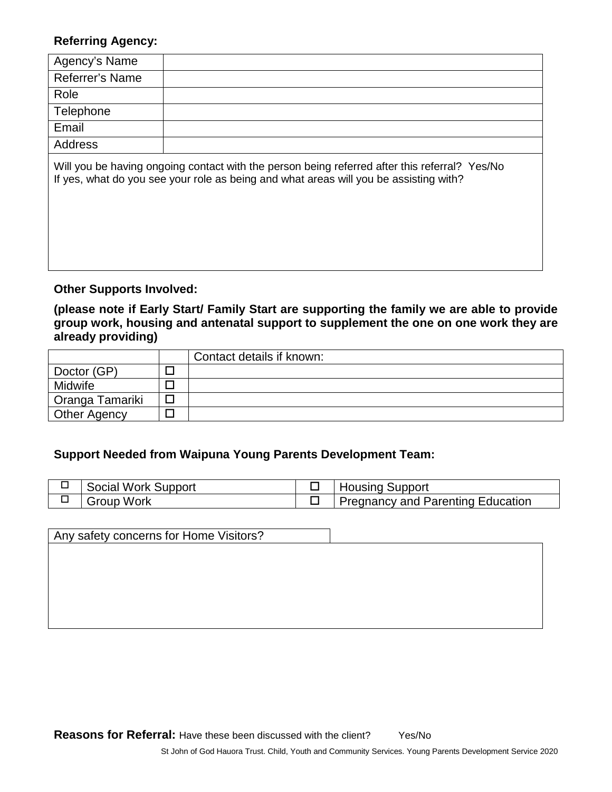### **Referring Agency:**

| Agency's Name   |                                                                                                  |
|-----------------|--------------------------------------------------------------------------------------------------|
| Referrer's Name |                                                                                                  |
| Role            |                                                                                                  |
| Telephone       |                                                                                                  |
| Email           |                                                                                                  |
| Address         |                                                                                                  |
|                 | latilly you he beying engeing contact with the person being referred ofter this referred? Vec/Ne |

Will you be having ongoing contact with the person being referred after this referral? Yes/No If yes, what do you see your role as being and what areas will you be assisting with?

### **Other Supports Involved:**

**(please note if Early Start/ Family Start are supporting the family we are able to provide group work, housing and antenatal support to supplement the one on one work they are already providing)**

|                     | Contact details if known: |
|---------------------|---------------------------|
| Doctor (GP)         |                           |
| <b>Midwife</b>      |                           |
| Oranga Tamariki     |                           |
| <b>Other Agency</b> |                           |

## **Support Needed from Waipuna Young Parents Development Team:**

| Social Work Support | <b>Housing Support</b>            |
|---------------------|-----------------------------------|
| Group Work          | Pregnancy and Parenting Education |

Any safety concerns for Home Visitors?